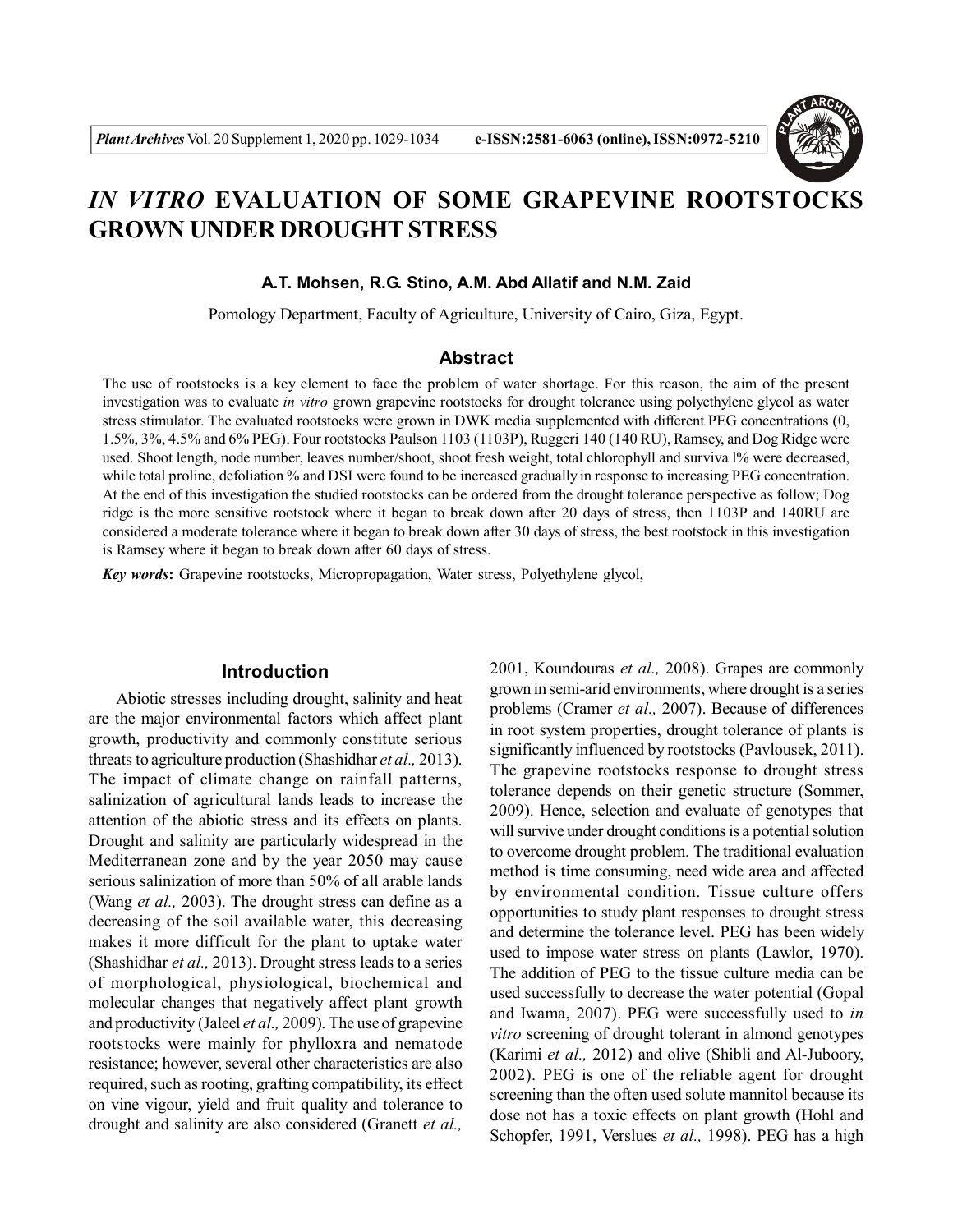

# *IN VITRO* **EVALUATION OF SOME GRAPEVINE ROOTSTOCKS GROWN UNDER DROUGHT STRESS**

#### **A.T. Mohsen, R.G. Stino, A.M. Abd Allatif and N.M. Zaid**

Pomology Department, Faculty of Agriculture, University of Cairo, Giza, Egypt.

# **Abstract**

The use of rootstocks is a key element to face the problem of water shortage. For this reason, the aim of the present investigation was to evaluate *in vitro* grown grapevine rootstocks for drought tolerance using polyethylene glycol as water stress stimulator. The evaluated rootstocks were grown in DWK media supplemented with different PEG concentrations (0, 1.5%, 3%, 4.5% and 6% PEG). Four rootstocks Paulson 1103 (1103P), Ruggeri 140 (140 RU), Ramsey, and Dog Ridge were used. Shoot length, node number, leaves number/shoot, shoot fresh weight, total chlorophyll and surviva l% were decreased, while total proline, defoliation % and DSI were found to be increased gradually in response to increasing PEG concentration. At the end of this investigation the studied rootstocks can be ordered from the drought tolerance perspective as follow; Dog ridge is the more sensitive rootstock where it began to break down after 20 days of stress, then 1103P and 140RU are considered a moderate tolerance where it began to break down after 30 days of stress, the best rootstock in this investigation is Ramsey where it began to break down after 60 days of stress.

*Key words***:** Grapevine rootstocks, Micropropagation, Water stress, Polyethylene glycol,

# **Introduction**

Abiotic stresses including drought, salinity and heat are the major environmental factors which affect plant growth, productivity and commonly constitute serious threats to agriculture production (Shashidhar *et al.,* 2013). The impact of climate change on rainfall patterns, salinization of agricultural lands leads to increase the attention of the abiotic stress and its effects on plants. Drought and salinity are particularly widespread in the Mediterranean zone and by the year 2050 may cause serious salinization of more than 50% of all arable lands (Wang *et al.,* 2003). The drought stress can define as a decreasing of the soil available water, this decreasing makes it more difficult for the plant to uptake water (Shashidhar *et al.,* 2013). Drought stress leads to a series of morphological, physiological, biochemical and molecular changes that negatively affect plant growth and productivity (Jaleel *et al.,* 2009). The use of grapevine rootstocks were mainly for phylloxra and nematode resistance; however, several other characteristics are also required, such as rooting, grafting compatibility, its effect on vine vigour, yield and fruit quality and tolerance to drought and salinity are also considered (Granett *et al.,* 2001, Koundouras *et al.,* 2008). Grapes are commonly grown in semi-arid environments, where drought is a series problems (Cramer *et al.,* 2007). Because of differences in root system properties, drought tolerance of plants is significantly influenced by rootstocks (Pavlousek, 2011). The grapevine rootstocks response to drought stress tolerance depends on their genetic structure (Sommer, 2009). Hence, selection and evaluate of genotypes that will survive under drought conditions is a potential solution to overcome drought problem. The traditional evaluation method is time consuming, need wide area and affected by environmental condition. Tissue culture offers opportunities to study plant responses to drought stress and determine the tolerance level. PEG has been widely used to impose water stress on plants (Lawlor, 1970). The addition of PEG to the tissue culture media can be used successfully to decrease the water potential (Gopal and Iwama, 2007). PEG were successfully used to *in vitro* screening of drought tolerant in almond genotypes (Karimi *et al.,* 2012) and olive (Shibli and Al-Juboory, 2002). PEG is one of the reliable agent for drought screening than the often used solute mannitol because its dose not has a toxic effects on plant growth (Hohl and Schopfer, 1991, Verslues *et al.,* 1998). PEG has a high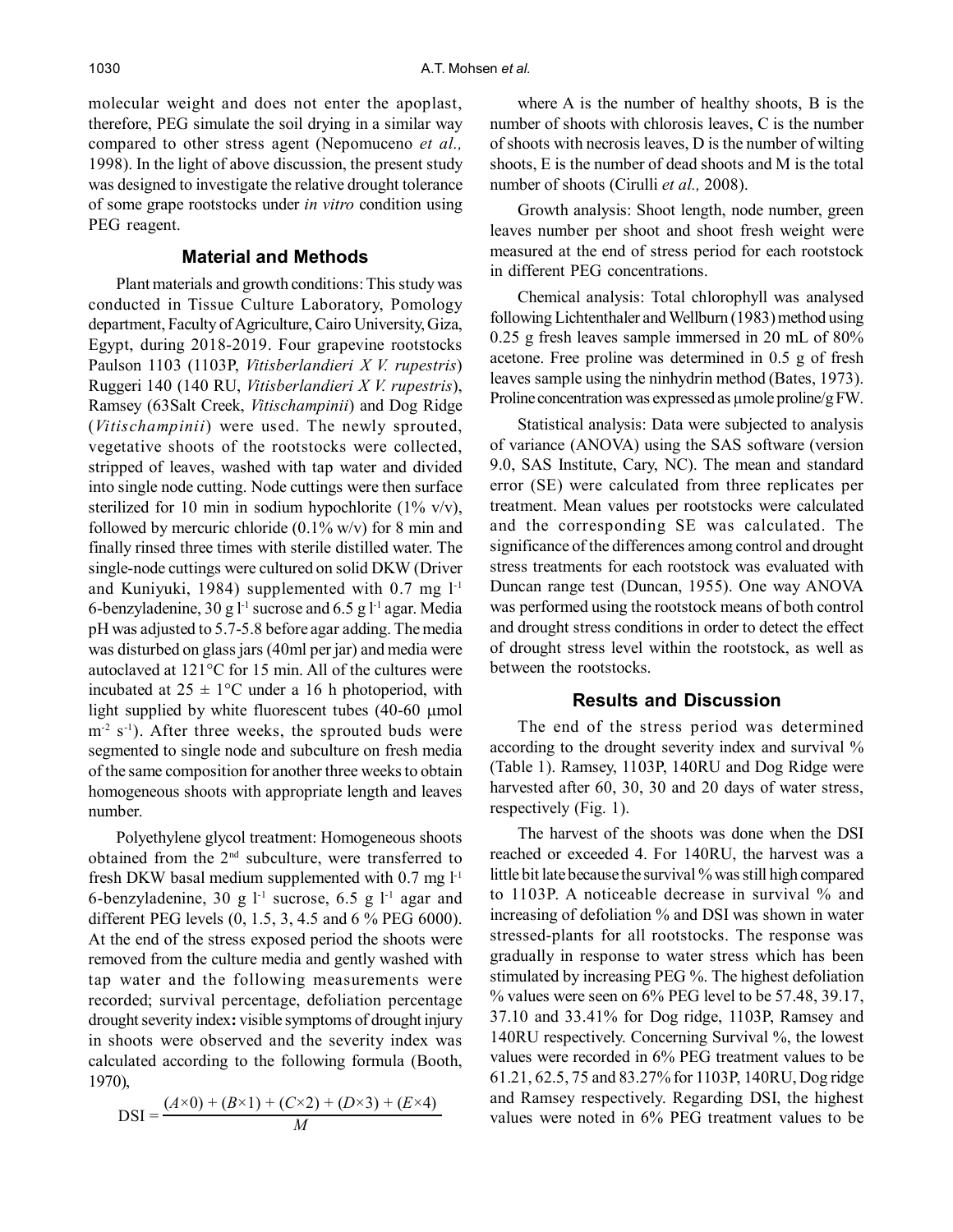molecular weight and does not enter the apoplast, therefore, PEG simulate the soil drying in a similar way compared to other stress agent (Nepomuceno *et al.,* 1998). In the light of above discussion, the present study was designed to investigate the relative drought tolerance of some grape rootstocks under *in vitro* condition using PEG reagent.

# **Material and Methods**

Plant materials and growth conditions: This study was conducted in Tissue Culture Laboratory, Pomology department, Faculty of Agriculture, Cairo University, Giza, Egypt, during 2018-2019. Four grapevine rootstocks Paulson 1103 (1103P, *Vitisberlandieri X V. rupestris*) Ruggeri 140 (140 RU, *Vitisberlandieri X V. rupestris*), Ramsey (63Salt Creek, *Vitischampinii*) and Dog Ridge (*Vitischampinii*) were used. The newly sprouted, vegetative shoots of the rootstocks were collected, stripped of leaves, washed with tap water and divided into single node cutting. Node cuttings were then surface sterilized for 10 min in sodium hypochlorite (1% v/v), followed by mercuric chloride  $(0.1\%$  w/v) for 8 min and finally rinsed three times with sterile distilled water. The single-node cuttings were cultured on solid DKW (Driver and Kuniyuki, 1984) supplemented with  $0.7 \text{ mg } l^{-1}$ 6-benzyladenine, 30 g  $l<sup>-1</sup>$  sucrose and 6.5 g  $l<sup>-1</sup>$  agar. Media pH was adjusted to 5.7-5.8 before agar adding. The media was disturbed on glass jars (40ml per jar) and media were autoclaved at 121°C for 15 min. All of the cultures were incubated at  $25 \pm 1$ °C under a 16 h photoperiod, with light supplied by white fluorescent tubes  $(40-60 \mu m)$  $m<sup>-2</sup>$  s<sup>-1</sup>). After three weeks, the sprouted buds were segmented to single node and subculture on fresh media of the same composition for another three weeks to obtain homogeneous shoots with appropriate length and leaves number.

Polyethylene glycol treatment: Homogeneous shoots obtained from the 2nd subculture, were transferred to fresh DKW basal medium supplemented with  $0.7$  mg  $1<sup>-1</sup>$ 6-benzyladenine, 30 g  $l<sup>-1</sup>$  sucrose, 6.5 g  $l<sup>-1</sup>$  agar and different PEG levels (0, 1.5, 3, 4.5 and 6 % PEG 6000). At the end of the stress exposed period the shoots were removed from the culture media and gently washed with tap water and the following measurements were recorded; survival percentage, defoliation percentage drought severity index**:** visible symptoms of drought injury in shoots were observed and the severity index was calculated according to the following formula (Booth, 1970),

$$
DSI = \frac{(A \times 0) + (B \times 1) + (C \times 2) + (D \times 3) + (E \times 4)}{M}
$$

where A is the number of healthy shoots, B is the number of shoots with chlorosis leaves, C is the number of shoots with necrosis leaves, D is the number of wilting shoots, E is the number of dead shoots and M is the total number of shoots (Cirulli *et al.,* 2008).

Growth analysis: Shoot length, node number, green leaves number per shoot and shoot fresh weight were measured at the end of stress period for each rootstock in different PEG concentrations.

Chemical analysis: Total chlorophyll was analysed following Lichtenthaler and Wellburn (1983) method using 0.25 g fresh leaves sample immersed in 20 mL of 80% acetone. Free proline was determined in 0.5 g of fresh leaves sample using the ninhydrin method (Bates, 1973). Proline concentration was expressed as  $\mu$ mole proline/g FW.

Statistical analysis: Data were subjected to analysis of variance (ANOVA) using the SAS software (version 9.0, SAS Institute, Cary, NC). The mean and standard error (SE) were calculated from three replicates per treatment. Mean values per rootstocks were calculated and the corresponding SE was calculated. The significance of the differences among control and drought stress treatments for each rootstock was evaluated with Duncan range test (Duncan, 1955). One way ANOVA was performed using the rootstock means of both control and drought stress conditions in order to detect the effect of drought stress level within the rootstock, as well as between the rootstocks.

## **Results and Discussion**

The end of the stress period was determined according to the drought severity index and survival % (Table 1). Ramsey, 1103P, 140RU and Dog Ridge were harvested after 60, 30, 30 and 20 days of water stress, respectively (Fig. 1).

The harvest of the shoots was done when the DSI reached or exceeded 4. For 140RU, the harvest was a little bit late because the survival % was still high compared to 1103P. A noticeable decrease in survival % and increasing of defoliation % and DSI was shown in water stressed-plants for all rootstocks. The response was gradually in response to water stress which has been stimulated by increasing PEG %. The highest defoliation % values were seen on 6% PEG level to be 57.48, 39.17, 37.10 and 33.41% for Dog ridge, 1103P, Ramsey and 140RU respectively. Concerning Survival %, the lowest values were recorded in 6% PEG treatment values to be 61.21, 62.5, 75 and 83.27% for 1103P, 140RU, Dog ridge and Ramsey respectively. Regarding DSI, the highest values were noted in 6% PEG treatment values to be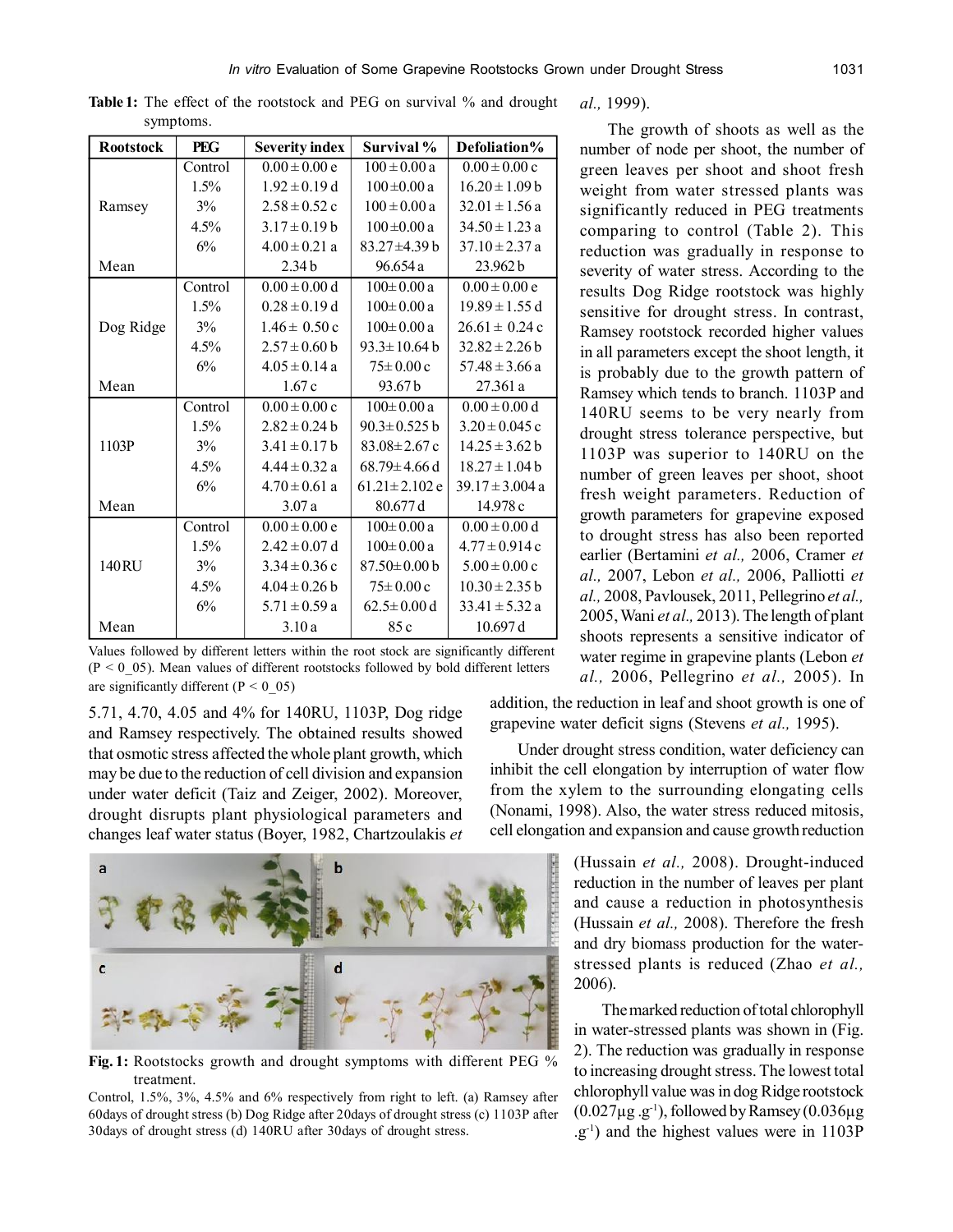| <b>Rootstock</b> | <b>PEG</b>        | <b>Severity index</b> | Survival %          | Defoliation%        |
|------------------|-------------------|-----------------------|---------------------|---------------------|
|                  |                   |                       |                     |                     |
| Ramsey           | Control           | $0.00 \pm 0.00 e$     | $100 \pm 0.00 a$    | $0.00 \pm 0.00$ c   |
|                  | 1.5%              | $1.92 \pm 0.19$ d     | $100 \pm 0.00 a$    | $16.20 \pm 1.09$ b  |
|                  | $3\%$             | $2.58 \pm 0.52$ c     | $100 \pm 0.00 a$    | $32.01 \pm 1.56$ a  |
|                  | 4.5%              | $3.17 \pm 0.19$ b     | $100 \pm 0.00 a$    | $34.50 \pm 1.23$ a  |
|                  | 6%                | $4.00 \pm 0.21$ a     | $83.27 + 4.39$ b    | $37.10 \pm 2.37$ a  |
| Mean             | 2.34 <sub>b</sub> |                       | 96.654 a            | 23.962 b            |
| Dog Ridge        | Control           | $0.00 \pm 0.00 d$     | $100 \pm 0.00 a$    | $0.00 \pm 0.00 e$   |
|                  | 1.5%              | $0.28 \pm 0.19$ d     | $100 \pm 0.00 a$    | $19.89 \pm 1.55$ d  |
|                  | 3%                | $1.46 \pm 0.50$ c     | $100 \pm 0.00 a$    | $26.61 \pm 0.24$ c  |
|                  | 4.5%              | $2.57 \pm 0.60$ b     | $93.3 \pm 10.64 b$  | $32.82 \pm 2.26$ b  |
|                  | 6%                | $4.05 \pm 0.14$ a     | $75 \pm 0.00$ c     | $57.48 \pm 3.66$ a  |
| Mean             |                   | 1.67c                 | 93.67b              | 27.361 a            |
| 1103P            | Control           | $0.00 \pm 0.00$ c     | $100 \pm 0.00 a$    | $0.00 \pm 0.00 d$   |
|                  | 1.5%              | $2.82 \pm 0.24$ b     | $90.3 \pm 0.525 b$  | $3.20 \pm 0.045$ c  |
|                  | 3%                | $3.41 \pm 0.17$ b     | $83.08 \pm 2.67$ c  | $14.25 \pm 3.62$ b  |
|                  | 4.5%              | $4.44 \pm 0.32$ a     | $68.79 \pm 4.66$ d  | $18.27 \pm 1.04$ b  |
|                  | 6%                | $4.70 \pm 0.61$ a     | $61.21 \pm 2.102$ e | $39.17 \pm 3.004$ a |
| Mean             |                   | 3.07a                 | 80.677 d            | 14.978 c            |
| 140RU            | Control           | $0.00 \pm 0.00 e$     | $100 \pm 0.00 a$    | $0.00 \pm 0.00 d$   |
|                  | 1.5%              | $2.42 \pm 0.07$ d     | $100 \pm 0.00 a$    | $4.77 \pm 0.914$ c  |
|                  | 3%                | $3.34 \pm 0.36$ c     | $87.50 \pm 0.00$ b  | $5.00 \pm 0.00$ c   |
|                  | 4.5%              | $4.04 \pm 0.26$ b     | $75 \pm 0.00$ c     | $10.30 \pm 2.35 b$  |
|                  | 6%                | $5.71 \pm 0.59$ a     | $62.5 \pm 0.00$ d   | $33.41 \pm 5.32$ a  |
| Mean             |                   | 3.10a                 | 85 c                | 10.697 d            |

Table 1: The effect of the rootstock and PEG on survival % and drought symptoms.

Values followed by different letters within the root stock are significantly different  $(P < 0.05)$ . Mean values of different rootstocks followed by bold different letters are significantly different ( $P < 0$  05)

5.71, 4.70, 4.05 and 4% for 140RU, 1103P, Dog ridge and Ramsey respectively. The obtained results showed that osmotic stress affected the whole plant growth, which may be due to the reduction of cell division and expansion under water deficit (Taiz and Zeiger, 2002). Moreover, drought disrupts plant physiological parameters and changes leaf water status (Boyer, 1982, Chartzoulakis *et*



**Fig. 1:** Rootstocks growth and drought symptoms with different PEG % treatment.

Control, 1.5%, 3%, 4.5% and 6% respectively from right to left. (a) Ramsey after 60days of drought stress (b) Dog Ridge after 20days of drought stress (c) 1103P after 30days of drought stress (d) 140RU after 30days of drought stress.

*al.,* 1999).

The growth of shoots as well as the number of node per shoot, the number of green leaves per shoot and shoot fresh weight from water stressed plants was significantly reduced in PEG treatments comparing to control (Table 2). This reduction was gradually in response to severity of water stress. According to the results Dog Ridge rootstock was highly sensitive for drought stress. In contrast, Ramsey rootstock recorded higher values in all parameters except the shoot length, it is probably due to the growth pattern of Ramsey which tends to branch. 1103P and 140RU seems to be very nearly from drought stress tolerance perspective, but 1103P was superior to 140RU on the number of green leaves per shoot, shoot fresh weight parameters. Reduction of growth parameters for grapevine exposed to drought stress has also been reported earlier (Bertamini *et al.,* 2006, Cramer *et al.,* 2007, Lebon *et al.,* 2006, Palliotti *et al.,* 2008, Pavlousek, 2011, Pellegrino *et al.,* 2005, Wani *et al.,* 2013). The length of plant shoots represents a sensitive indicator of water regime in grapevine plants (Lebon *et al.,* 2006, Pellegrino *et al.,* 2005). In

addition, the reduction in leaf and shoot growth is one of grapevine water deficit signs (Stevens *et al.,* 1995).

Under drought stress condition, water deficiency can inhibit the cell elongation by interruption of water flow from the xylem to the surrounding elongating cells (Nonami, 1998). Also, the water stress reduced mitosis, cell elongation and expansion and cause growth reduction

> (Hussain *et al.,* 2008). Drought-induced reduction in the number of leaves per plant and cause a reduction in photosynthesis (Hussain *et al.,* 2008). Therefore the fresh and dry biomass production for the waterstressed plants is reduced (Zhao *et al.,* 2006).

> The marked reduction of total chlorophyll in water-stressed plants was shown in (Fig. 2). The reduction was gradually in response to increasing drought stress. The lowest total chlorophyll value was in dog Ridge rootstock  $(0.027\mu g.g^{-1})$ , followed by Ramsey  $(0.036\mu g$ .g-1) and the highest values were in 1103P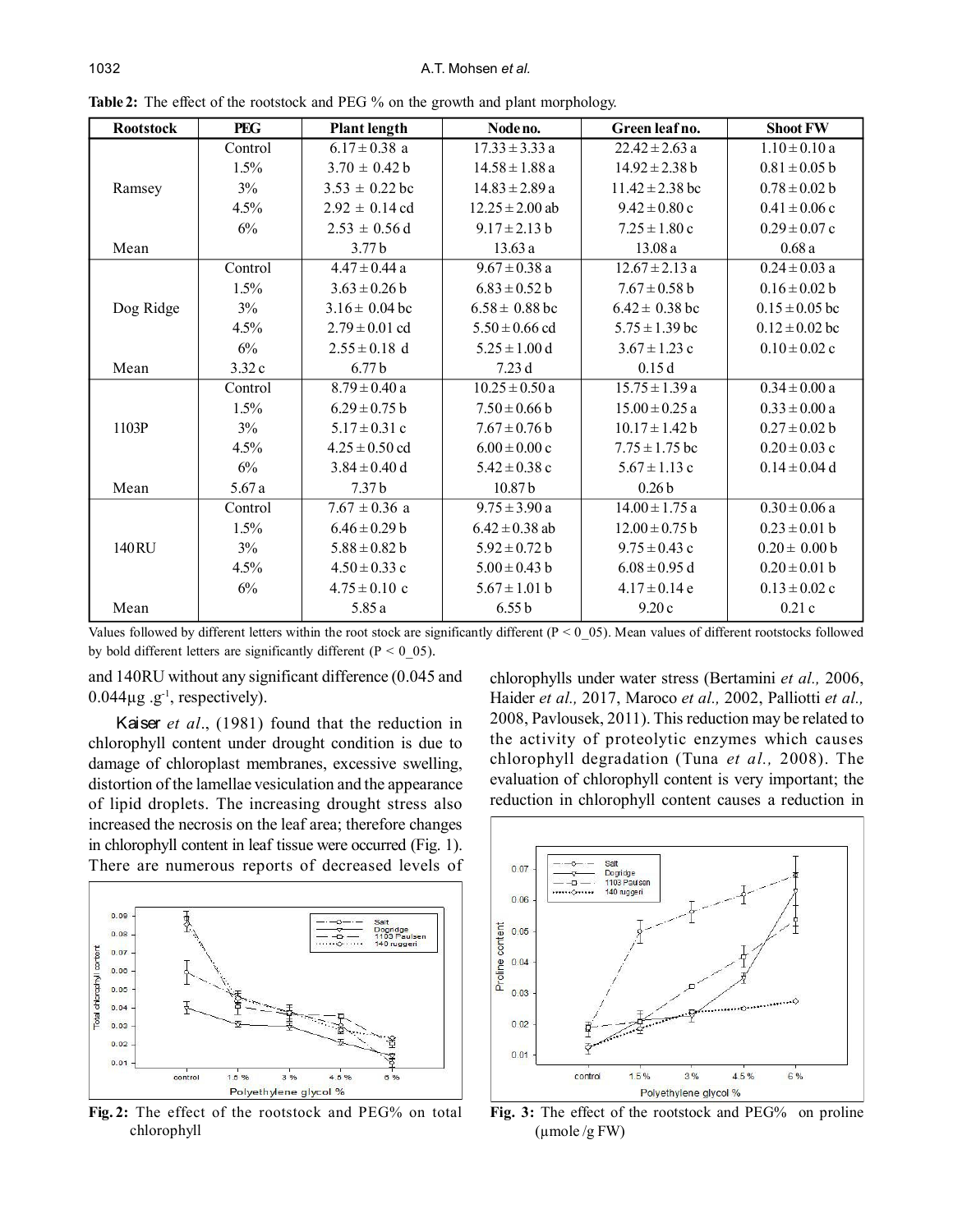#### 1032 A.T. Mohsen *et al.*

| <b>Rootstock</b> | <b>PEG</b> | <b>Plant length</b> | Node no.            | Green leaf no.      | <b>Shoot FW</b>    |
|------------------|------------|---------------------|---------------------|---------------------|--------------------|
|                  | Control    | $6.17 \pm 0.38$ a   | $17.33 \pm 3.33$ a  | $22.42 \pm 2.63$ a  | $1.10 \pm 0.10$ a  |
|                  | $1.5\%$    | $3.70 \pm 0.42 b$   | $14.58 \pm 1.88$ a  | $14.92 \pm 2.38$ b  | $0.81 \pm 0.05$ b  |
| Ramsey           | 3%         | $3.53 \pm 0.22$ bc  | $14.83 \pm 2.89$ a  | $11.42 \pm 2.38$ bc | $0.78 \pm 0.02 b$  |
|                  | $4.5\%$    | $2.92 \pm 0.14$ cd  | $12.25 \pm 2.00$ ab | $9.42 \pm 0.80$ c   | $0.41 \pm 0.06$ c  |
|                  | 6%         | $2.53 \pm 0.56$ d   | $9.17 \pm 2.13 b$   | $7.25 \pm 1.80$ c   | $0.29 \pm 0.07$ c  |
| Mean             |            | 3.77 <sub>b</sub>   | 13.63a              | 13.08a              | 0.68a              |
|                  | Control    | $4.47 \pm 0.44$ a   | $9.67 \pm 0.38$ a   | $12.67 \pm 2.13$ a  | $0.24 \pm 0.03$ a  |
|                  | 1.5%       | $3.63 \pm 0.26 b$   | $6.83 \pm 0.52$ b   | $7.67 \pm 0.58$ b   | $0.16 \pm 0.02$ b  |
| Dog Ridge        | 3%         | $3.16 \pm 0.04$ bc  | $6.58 \pm 0.88$ bc  | $6.42 \pm 0.38$ bc  | $0.15 \pm 0.05$ bc |
|                  | 4.5%       | $2.79 \pm 0.01$ cd  | $5.50 \pm 0.66$ cd  | $5.75 \pm 1.39$ bc  | $0.12 \pm 0.02$ bc |
|                  | 6%         | $2.55 \pm 0.18$ d   | $5.25 \pm 1.00$ d   | $3.67 \pm 1.23$ c   | $0.10 \pm 0.02$ c  |
| Mean             | 3.32c      | 6.77 <sub>b</sub>   | 7.23d               | 0.15d               |                    |
| 1103P            | Control    | $8.79 \pm 0.40$ a   | $10.25 \pm 0.50$ a  | $15.75 \pm 1.39$ a  | $0.34 \pm 0.00 a$  |
|                  | $1.5\%$    | $6.29 \pm 0.75$ b   | $7.50 \pm 0.66$ b   | $15.00 \pm 0.25$ a  | $0.33 \pm 0.00 a$  |
|                  | 3%         | $5.17 \pm 0.31$ c   | $7.67 \pm 0.76$ b   | $10.17 \pm 1.42 b$  | $0.27 \pm 0.02 b$  |
|                  | 4.5%       | $4.25 \pm 0.50$ cd  | $6.00 \pm 0.00$ c   | $7.75 \pm 1.75$ bc  | $0.20 \pm 0.03$ c  |
|                  | 6%         | $3.84 \pm 0.40$ d   | $5.42 \pm 0.38$ c   | $5.67 \pm 1.13$ c   | $0.14 \pm 0.04$ d  |
| Mean             | 5.67a      | 7.37 <sub>b</sub>   | 10.87 <sub>b</sub>  | 0.26 <sub>b</sub>   |                    |
| 140 RU           | Control    | $7.67 \pm 0.36$ a   | $9.75 \pm 3.90$ a   | $14.00 \pm 1.75$ a  | $0.30 \pm 0.06$ a  |
|                  | $1.5\%$    | $6.46 \pm 0.29 b$   | $6.42 \pm 0.38$ ab  | $12.00 \pm 0.75 b$  | $0.23 \pm 0.01$ b  |
|                  | 3%         | $5.88 \pm 0.82$ b   | $5.92 \pm 0.72 b$   | $9.75 \pm 0.43$ c   | $0.20 \pm 0.00 b$  |
|                  | 4.5%       | $4.50 \pm 0.33$ c   | $5.00 \pm 0.43$ b   | $6.08 \pm 0.95$ d   | $0.20 \pm 0.01$ b  |
|                  | 6%         | $4.75 \pm 0.10$ c   | $5.67 \pm 1.01$ b   | $4.17 \pm 0.14$ e   | $0.13 \pm 0.02$ c  |
| Mean             |            | 5.85 a              | 6.55 b              | 9.20c               | 0.21c              |

**Table 2:** The effect of the rootstock and PEG % on the growth and plant morphology.

Values followed by different letters within the root stock are significantly different ( $P < 0$ \_05). Mean values of different rootstocks followed by bold different letters are significantly different ( $P < 0$  05).

and 140RU without any significant difference (0.045 and  $0.044\mu$ g .g<sup>-1</sup>, respectively).

Kaiser *et al*., (1981) found that the reduction in chlorophyll content under drought condition is due to damage of chloroplast membranes, excessive swelling, distortion of the lamellae vesiculation and the appearance of lipid droplets. The increasing drought stress also increased the necrosis on the leaf area; therefore changes in chlorophyll content in leaf tissue were occurred (Fig. 1). There are numerous reports of decreased levels of



**Fig. 2:** The effect of the rootstock and PEG% on total chlorophyll

chlorophylls under water stress (Bertamini *et al.,* 2006, Haider *et al.,* 2017, Maroco *et al.,* 2002, Palliotti *et al.,* 2008, Pavlousek, 2011). This reduction may be related to the activity of proteolytic enzymes which causes chlorophyll degradation (Tuna *et al.,* 2008). The evaluation of chlorophyll content is very important; the reduction in chlorophyll content causes a reduction in



**Fig. 3:** The effect of the rootstock and PEG% on proline (µmole /g FW)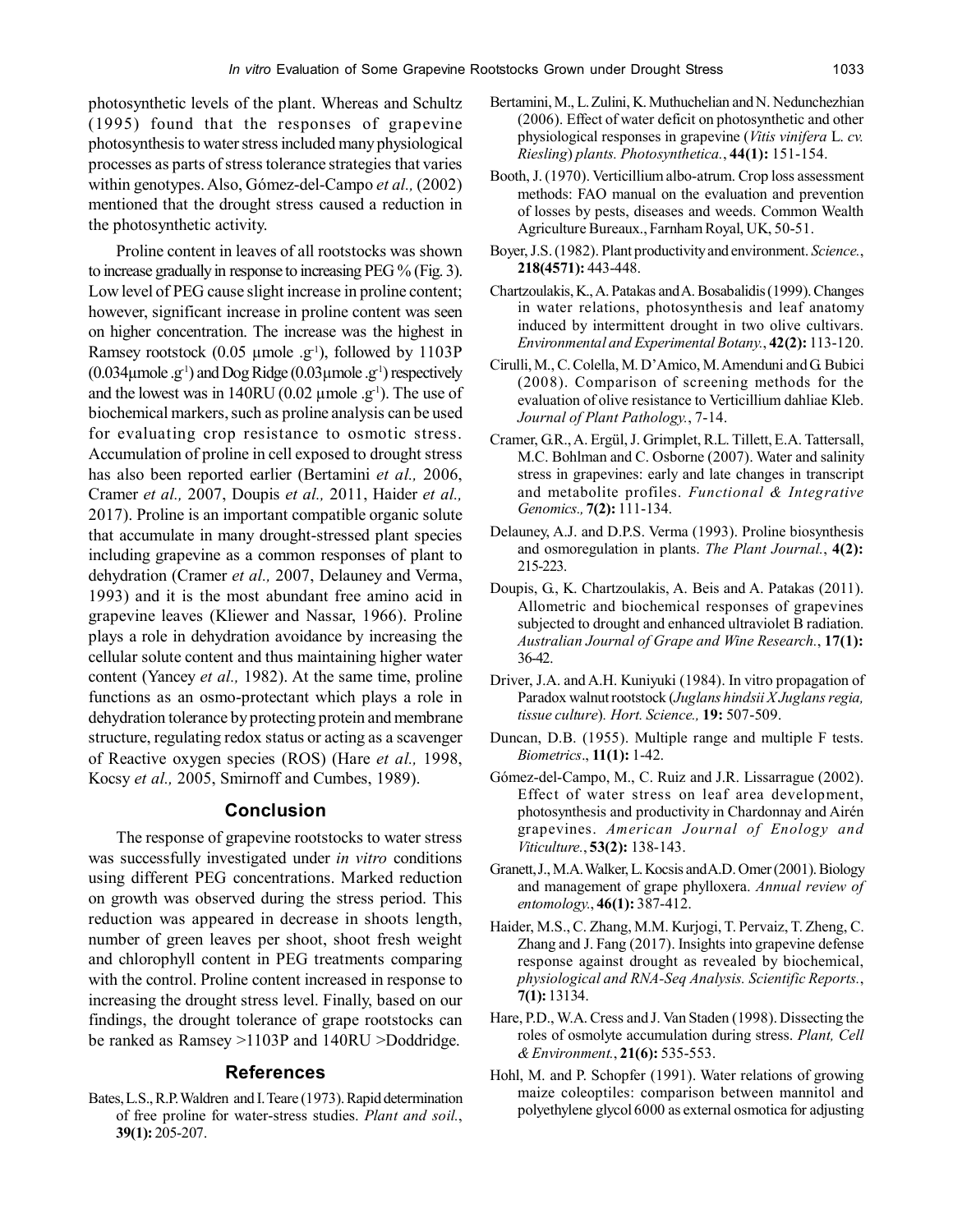photosynthetic levels of the plant. Whereas and Schultz (1995) found that the responses of grapevine photosynthesis to water stress included many physiological processes as parts of stress tolerance strategies that varies within genotypes. Also, Gómez-del-Campo *et al.,* (2002) mentioned that the drought stress caused a reduction in the photosynthetic activity.

Proline content in leaves of all rootstocks was shown to increase gradually in response to increasing PEG % (Fig. 3). Low level of PEG cause slight increase in proline content; however, significant increase in proline content was seen on higher concentration. The increase was the highest in Ramsey rootstock  $(0.05 \mu \text{mole} \cdot \text{g}^{-1})$ , followed by 1103P  $(0.034 \mu \text{mole} \cdot \text{g}^1)$  and Dog Ridge  $(0.03 \mu \text{mole} \cdot \text{g}^1)$  respectively and the lowest was in 140RU (0.02  $\mu$ mole .g<sup>-1</sup>). The use of biochemical markers, such as proline analysis can be used for evaluating crop resistance to osmotic stress. Accumulation of proline in cell exposed to drought stress has also been reported earlier (Bertamini *et al.,* 2006, Cramer *et al.,* 2007, Doupis *et al.,* 2011, Haider *et al.,* 2017). Proline is an important compatible organic solute that accumulate in many drought-stressed plant species including grapevine as a common responses of plant to dehydration (Cramer *et al.,* 2007, Delauney and Verma, 1993) and it is the most abundant free amino acid in grapevine leaves (Kliewer and Nassar, 1966). Proline plays a role in dehydration avoidance by increasing the cellular solute content and thus maintaining higher water content (Yancey *et al.,* 1982). At the same time, proline functions as an osmo-protectant which plays a role in dehydration tolerance by protecting protein and membrane structure, regulating redox status or acting as a scavenger of Reactive oxygen species (ROS) (Hare *et al.,* 1998, Kocsy *et al.,* 2005, Smirnoff and Cumbes, 1989).

## **Conclusion**

The response of grapevine rootstocks to water stress was successfully investigated under *in vitro* conditions using different PEG concentrations. Marked reduction on growth was observed during the stress period. This reduction was appeared in decrease in shoots length, number of green leaves per shoot, shoot fresh weight and chlorophyll content in PEG treatments comparing with the control. Proline content increased in response to increasing the drought stress level. Finally, based on our findings, the drought tolerance of grape rootstocks can be ranked as Ramsey >1103P and 140RU >Doddridge.

# **References**

Bates, L.S., R.P. Waldren and I. Teare (1973). Rapid determination of free proline for water-stress studies. *Plant and soil.*, **39(1):** 205-207.

- Bertamini, M., L. Zulini, K. Muthuchelian and N. Nedunchezhian (2006). Effect of water deficit on photosynthetic and other physiological responses in grapevine (*Vitis vinifera* L. *cv. Riesling*) *plants. Photosynthetica.*, **44(1):** 151-154.
- Booth, J. (1970). Verticillium albo-atrum. Crop loss assessment methods: FAO manual on the evaluation and prevention of losses by pests, diseases and weeds. Common Wealth Agriculture Bureaux., Farnham Royal, UK, 50-51.
- Boyer, J.S. (1982). Plant productivity and environment. *Science.*, **218(4571):** 443-448.
- Chartzoulakis, K., A. Patakas and A. Bosabalidis (1999). Changes in water relations, photosynthesis and leaf anatomy induced by intermittent drought in two olive cultivars. *Environmental and Experimental Botany.*, **42(2):** 113-120.
- Cirulli, M., C. Colella, M. D'Amico, M. Amenduni and G. Bubici (2008). Comparison of screening methods for the evaluation of olive resistance to Verticillium dahliae Kleb. *Journal of Plant Pathology.*, 7-14.
- Cramer, G.R., A. Ergül, J. Grimplet, R.L. Tillett, E.A. Tattersall, M.C. Bohlman and C. Osborne (2007). Water and salinity stress in grapevines: early and late changes in transcript and metabolite profiles. *Functional & Integrative Genomics.,* **7(2):** 111-134.
- Delauney, A.J. and D.P.S. Verma (1993). Proline biosynthesis and osmoregulation in plants. *The Plant Journal.*, **4(2):** 215-223.
- Doupis, G., K. Chartzoulakis, A. Beis and A. Patakas (2011). Allometric and biochemical responses of grapevines subjected to drought and enhanced ultraviolet B radiation. *Australian Journal of Grape and Wine Research.*, **17(1):** 36-42.
- Driver, J.A. and A.H. Kuniyuki (1984). In vitro propagation of Paradox walnut rootstock (*Juglans hindsii X Juglans regia, tissue culture*)*. Hort. Science.,* **19:** 507-509.
- Duncan, D.B. (1955). Multiple range and multiple F tests. *Biometrics*., **11(1):** 1-42.
- Gómez-del-Campo, M., C. Ruiz and J.R. Lissarrague (2002). Effect of water stress on leaf area development, photosynthesis and productivity in Chardonnay and Airén grapevines. *American Journal of Enology and Viticulture.*, **53(2):** 138-143.
- Granett, J., M.A. Walker, L. Kocsis and A.D. Omer (2001). Biology and management of grape phylloxera. *Annual review of entomology.*, **46(1):** 387-412.
- Haider, M.S., C. Zhang, M.M. Kurjogi, T. Pervaiz, T. Zheng, C. Zhang and J. Fang (2017). Insights into grapevine defense response against drought as revealed by biochemical, *physiological and RNA-Seq Analysis. Scientific Reports.*, **7(1):** 13134.
- Hare, P.D., W.A. Cress and J. Van Staden (1998). Dissecting the roles of osmolyte accumulation during stress. *Plant, Cell & Environment.*, **21(6):** 535-553.
- Hohl, M. and P. Schopfer (1991). Water relations of growing maize coleoptiles: comparison between mannitol and polyethylene glycol 6000 as external osmotica for adjusting